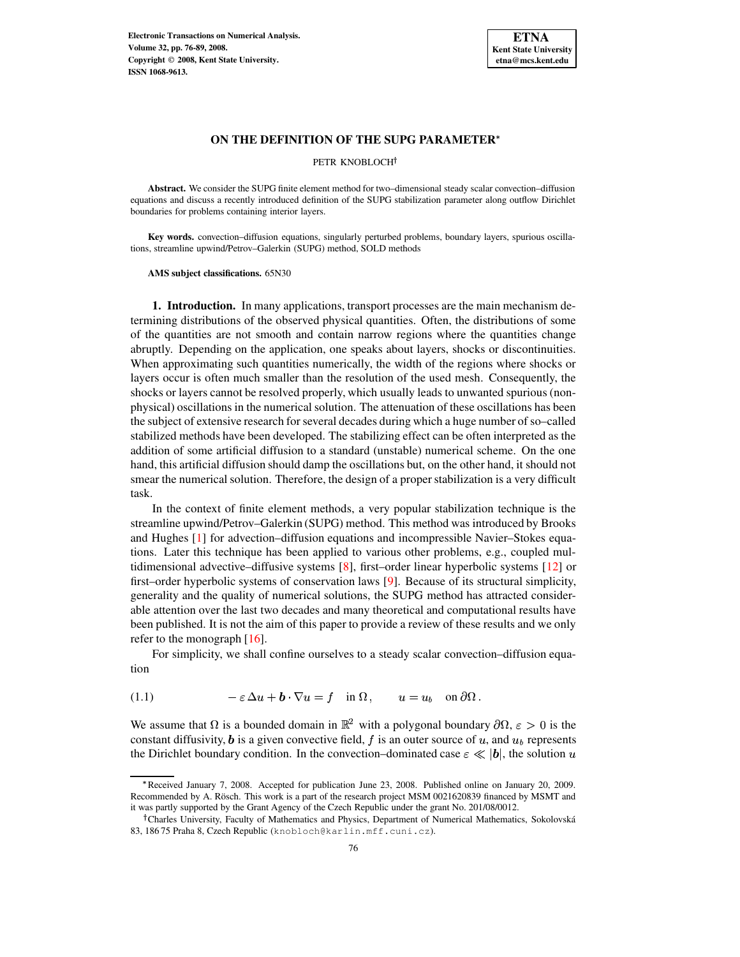

PETR KNOBLOCH<sup>+</sup>

**Abstract.** We consider the SUPG finite element method for two–dimensional steady scalar convection–diffusion equations and discuss a recently introduced definition of the SUPG stabilization parameter along outflow Dirichlet boundaries for problems containing interior layers.

**Key words.** convection–diffusion equations, singularly perturbed problems, boundary layers, spurious oscillations, streamline upwind/Petrov–Galerkin (SUPG) method, SOLD methods

**AMS subject classifications.** 65N30

**1. Introduction.** In many applications, transport processes are the main mechanism determining distributions of the observed physical quantities. Often, the distributions of some of the quantities are not smooth and contain narrow regions where the quantities change abruptly. Depending on the application, one speaks about layers, shocks or discontinuities. When approximating such quantities numerically, the width of the regions where shocks or layers occur is often much smaller than the resolution of the used mesh. Consequently, the shocks or layers cannot be resolved properly, which usually leads to unwanted spurious (nonphysical) oscillations in the numerical solution. The attenuation of these oscillations has been the subject of extensive research for several decades during which a huge number of so–called stabilized methods have been developed. The stabilizing effect can be often interpreted as the addition of some artificial diffusion to a standard (unstable) numerical scheme. On the one hand, this artificial diffusion should damp the oscillations but, on the other hand, it should not smear the numerical solution. Therefore, the design of a properstabilization is a very difficult task.

In the context of finite element methods, a very popular stabilization technique is the streamline upwind/Petrov–Galerkin (SUPG) method. This method was introduced by Brooks and Hughes [\[1\]](#page-12-0) for advection–diffusion equations and incompressible Navier–Stokes equations. Later this technique has been applied to various other problems, e.g., coupled multidimensional advective–diffusive systems [\[8\]](#page-13-0), first–order linear hyperbolic systems [\[12\]](#page-13-1) or first–order hyperbolic systems of conservation laws [\[9\]](#page-13-2). Because of its structural simplicity, generality and the quality of numerical solutions, the SUPG method has attracted considerable attention over the last two decades and many theoretical and computational results have been published. It is not the aim of this paper to provide a review of these results and we only refer to the monograph  $[16]$ .

For simplicity, we shall confine ourselves to a steady scalar convection–diffusion equation

<span id="page-0-0"></span>(1.1)  $-\varepsilon \Delta u + \mathbf{b} \cdot \nabla u = f \quad \text{in } \Omega, \qquad u = u_b \quad \text{on } \partial \Omega.$ 

We assume that  $\Omega$  is a bounded domain in  $\mathbb{R}^2$  with a polygonal boundary  $\partial\Omega$ ,  $\varepsilon > 0$  is the constant diffusivity, **b** is a given convective field, f is an outer source of u, and  $u<sub>b</sub>$  represents the Dirichlet boundary condition. In the convection–dominated case  $\varepsilon \ll |b|$ , the solution u

<sup>,</sup> Received January 7, 2008. Accepted for publication June 23, 2008. Published online on January 20, 2009. Recommended by A. Rösch. This work is a part of the research project MSM 0021620839 financed by MSMT and it was partly supported by the Grant Agency of the Czech Republic under the grant No. 201/08/0012.

<sup>&</sup>lt;sup>†</sup> Charles University, Faculty of Mathematics and Physics, Department of Numerical Mathematics, Sokolovská 83, 18675 Praha 8, Czech Republic (knobloch@karlin.mff.cuni.cz).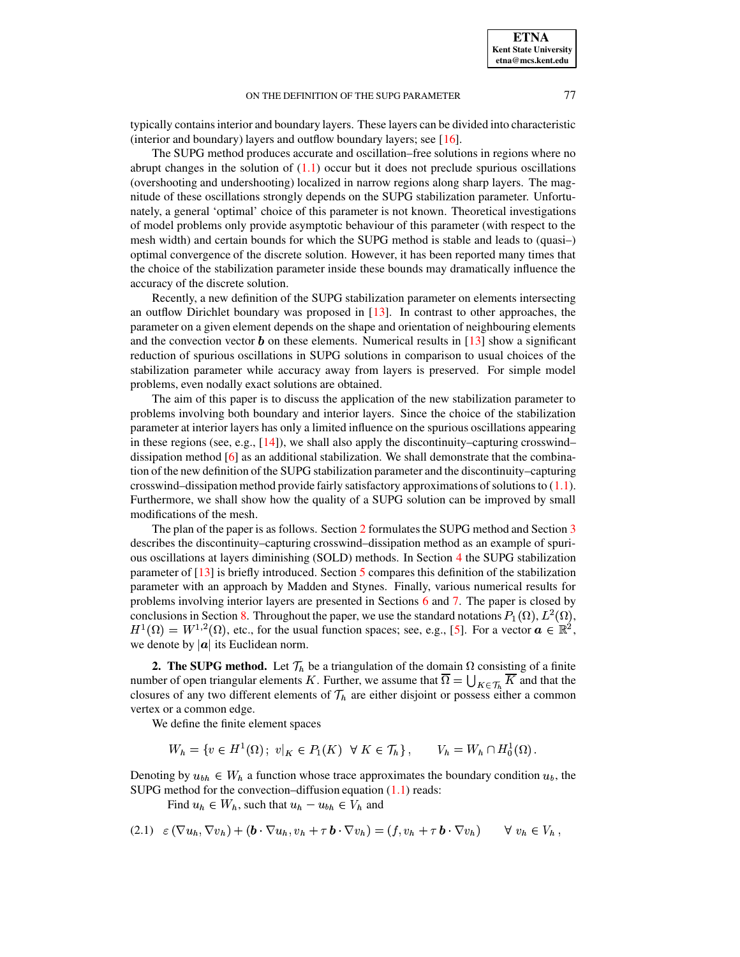typically containsinterior and boundary layers. These layers can be divided into characteristic (interior and boundary) layers and outflow boundary layers; see [\[16\]](#page-13-3).

The SUPG method produces accurate and oscillation–free solutions in regions where no abrupt changes in the solution of  $(1.1)$  occur but it does not preclude spurious oscillations (overshooting and undershooting) localized in narrow regions along sharp layers. The magnitude of these oscillations strongly depends on the SUPG stabilization parameter. Unfortunately, a general 'optimal' choice of this parameter is not known. Theoretical investigations of model problems only provide asymptotic behaviour of this parameter (with respect to the mesh width) and certain bounds for which the SUPG method is stable and leads to (quasi–) optimal convergence of the discrete solution. However, it has been reported many times that the choice of the stabilization parameter inside these bounds may dramatically influence the accuracy of the discrete solution.

Recently, a new definition of the SUPG stabilization parameter on elements intersecting an outflow Dirichlet boundary was proposed in [\[13\]](#page-13-4). In contrast to other approaches, the parameter on a given element depends on the shape and orientation of neighbouring elements and the convection vector  $\boldsymbol{b}$  on these elements. Numerical results in [\[13\]](#page-13-4) show a significant reduction of spurious oscillations in SUPG solutions in comparison to usual choices of the stabilization parameter while accuracy away from layers is preserved. For simple model problems, even nodally exact solutions are obtained.

The aim of this paper is to discuss the application of the new stabilization parameter to problems involving both boundary and interior layers. Since the choice of the stabilization parameter at interior layers has only a limited influence on the spurious oscillations appearing in these regions (see, e.g.,  $[14]$ ), we shall also apply the discontinuity–capturing crosswind– dissipation method  $\lceil 6 \rceil$  as an additional stabilization. We shall demonstrate that the combination of the new definition of the SUPG stabilization parameter and the discontinuity–capturing crosswind–dissipation method provide fairly satisfactory approximations of solutions to  $(1.1)$ . Furthermore, we shall show how the quality of a SUPG solution can be improved by small modifications of the mesh.

The plan of the paper is as follows. Section [2](#page-1-0) formulates the SUPG method and Section [3](#page-2-0) describes the discontinuity–capturing crosswind–dissipation method as an example of spurious oscillations at layers diminishing (SOLD) methods. In Section [4](#page-3-0) the SUPG stabilization parameter of [\[13\]](#page-13-4) is briefly introduced. Section [5](#page-4-0) compares this definition of the stabilization parameter with an approach by Madden and Stynes. Finally, various numerical results for problems involving interior layers are presented in Sections [6](#page-5-0) and [7.](#page-7-0) The paper is closed by conclusions in Section [8.](#page-12-1) Throughout the paper, we use the standard notations  $P_1(\Omega)$ ,  $L^2(\Omega)$ ,  $H^1(\Omega) = W^{1,2}(\Omega)$ , etc., for the usual function spaces; see, e.g., [\[5\]](#page-13-7). For a vector  $\boldsymbol{a} \in \mathbb{R}^2$ , we denote by  $|\boldsymbol{a}|$  its Euclidean norm.

<span id="page-1-0"></span>**2. The SUPG method.** Let  $\mathcal{T}_h$  be a triangulation of the domain  $\Omega$  consisting of a finite number of open triangular elements K. Further, we assume that  $\Omega = \bigcup_{K \in \mathcal{T}_L} K$  and that the closures of any two different elements of  $\mathcal{T}_h$  are either disjoint or possess either a common vertex or a common edge.

We define the finite element spaces

 $W_h = \{v \in H^1(\Omega) : v|_K \in P_1(K) \ \ \forall \ K \in \mathcal{T}_h\}, \qquad V_h = W_h \cap H_0^1(\Omega).$ 

Denoting by  $u_{bh} \in W_h$  a function whose trace approximates the boundary condition  $u_b$ , the SUPG method for the convection–diffusion equation [\(1.1\)](#page-0-0) reads:

Find  $u_h \in W_h$ , such that  $u_h - u_{bh} \in V_h$  and

<span id="page-1-1"></span>
$$
(2.1) \varepsilon (\nabla u_h, \nabla v_h) + (\boldsymbol{b} \cdot \nabla u_h, v_h + \tau \, \boldsymbol{b} \cdot \nabla v_h) = (f, v_h + \tau \, \boldsymbol{b} \cdot \nabla v_h) \qquad \forall \ v_h \in V_h,
$$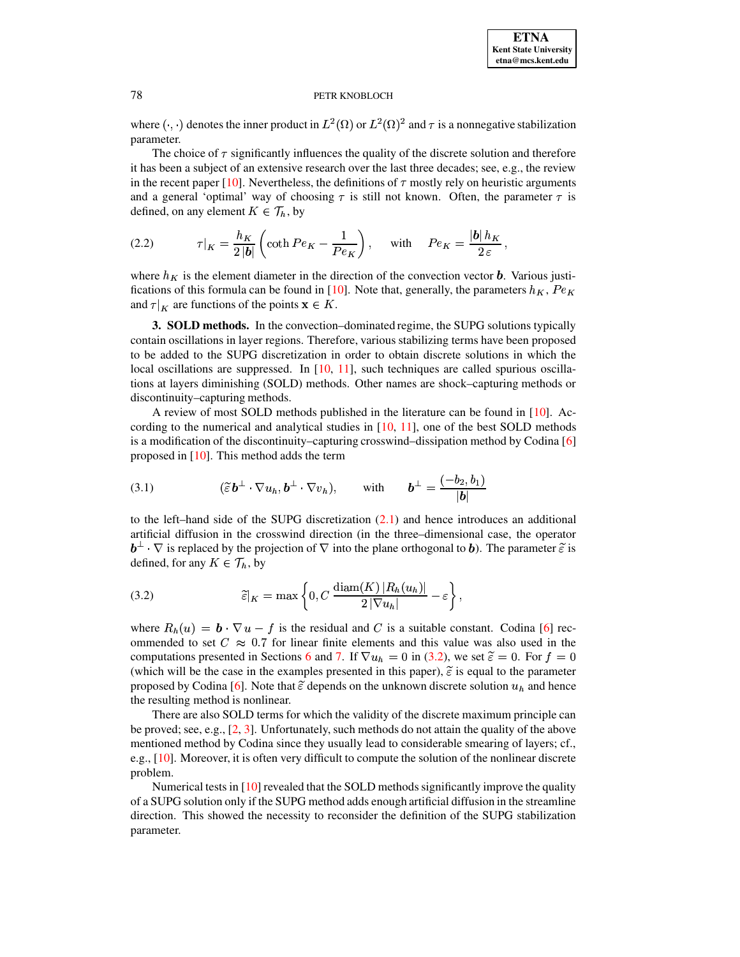where  $(\cdot, \cdot)$  denotes the inner product in  $L^2(\Omega)$  or  $L^2(\Omega)^2$  and  $\tau$  is a nonnegative stabilization parameter.

The choice of  $\tau$  significantly influences the quality of the discrete solution and therefore it has been a subject of an extensive research over the last three decades; see, e.g., the review in the recent paper [\[10\]](#page-13-8). Nevertheless, the definitions of  $\tau$  mostly rely on heuristic arguments and a general 'optimal' way of choosing  $\tau$  is still not known. Often, the parameter  $\tau$  is defined, on any element  $K \in \mathcal{T}_h$ , by

<span id="page-2-2"></span>(2.2) 
$$
\tau|_K = \frac{h_K}{2|b|} \left( \coth Pe_K - \frac{1}{Pe_K} \right), \quad \text{with} \quad Pe_K = \frac{|b| h_K}{2 \varepsilon},
$$

where  $h_K$  is the element diameter in the direction of the convection vector **b**. Various justi-fications of this formula can be found in [\[10\]](#page-13-8). Note that, generally, the parameters  $h_K$ ,  $Pe_K$ and  $\tau|_K$  are functions of the points  $\mathbf{x} \in K$ .

<span id="page-2-0"></span>**3. SOLD methods.** In the convection–dominated regime, the SUPG solutions typically contain oscillations in layer regions. Therefore, various stabilizing terms have been proposed to be added to the SUPG discretization in order to obtain discrete solutions in which the local oscillations are suppressed. In [\[10,](#page-13-8) [11\]](#page-13-9), such techniques are called spurious oscillations at layers diminishing (SOLD) methods. Other names are shock–capturing methods or discontinuity–capturing methods.

A review of most SOLD methods published in the literature can be found in [\[10\]](#page-13-8). According to the numerical and analytical studies in  $[10, 11]$  $[10, 11]$  $[10, 11]$ , one of the best SOLD methods is a modification of the discontinuity–capturing crosswind–dissipation method by Codina [\[6\]](#page-13-6) proposed in [\[10\]](#page-13-8). This method adds the term

<span id="page-2-3"></span>(3.1) 
$$
(\widetilde{\varepsilon} \mathbf{b}^{\perp} \cdot \nabla u_h, \mathbf{b}^{\perp} \cdot \nabla v_h), \quad \text{with} \quad \mathbf{b}^{\perp} = \frac{(-b_2, b_1)}{|\mathbf{b}|}
$$

to the left–hand side of the SUPG discretization  $(2.1)$  and hence introduces an additional artificial diffusion in the crosswind direction (in the three–dimensional case, the operator  $\mathbf{b}^{\perp} \cdot \nabla$  is replaced by the projection of  $\nabla$  into the plane orthogonal to b). The parameter  $\tilde{\varepsilon}$  is defined, for any  $K \in \mathcal{T}_h$ , by

<span id="page-2-1"></span>(3.2) 
$$
\widetilde{\varepsilon}|_K = \max\left\{0, C \frac{\text{diam}(K) |R_h(u_h)|}{2 |\nabla u_h|} - \varepsilon\right\},\,
$$

where  $R_h(u) = \mathbf{b} \cdot \nabla u - f$  is the residual and C is a suitable constant. Codina [\[6\]](#page-13-6) recommended to set  $C \approx 0.7$  for linear finite elements and this value was also used in the computations presented in Sections [6](#page-5-0) and [7.](#page-7-0) If  $\nabla u_h = 0$  in [\(3.2\)](#page-2-1), we set  $\tilde{\varepsilon} = 0$ . For  $f = 0$ (which will be the case in the examples presented in this paper),  $\tilde{\varepsilon}$  is equal to the parameter proposed by Codina [\[6\]](#page-13-6). Note that  $\tilde{\epsilon}$  depends on the unknown discrete solution  $u_h$  and hence the resulting method is nonlinear.

There are also SOLD terms for which the validity of the discrete maximum principle can be proved; see, e.g., [\[2,](#page-13-10) [3\]](#page-13-11). Unfortunately, such methods do not attain the quality of the above mentioned method by Codina since they usually lead to considerable smearing of layers; cf., e.g., [\[10\]](#page-13-8). Moreover, it is often very difficult to compute the solution of the nonlinear discrete problem.

Numerical tests in  $[10]$  revealed that the SOLD methods significantly improve the quality of a SUPG solution only if the SUPG method adds enough artificial diffusion in the streamline direction. This showed the necessity to reconsider the definition of the SUPG stabilization parameter.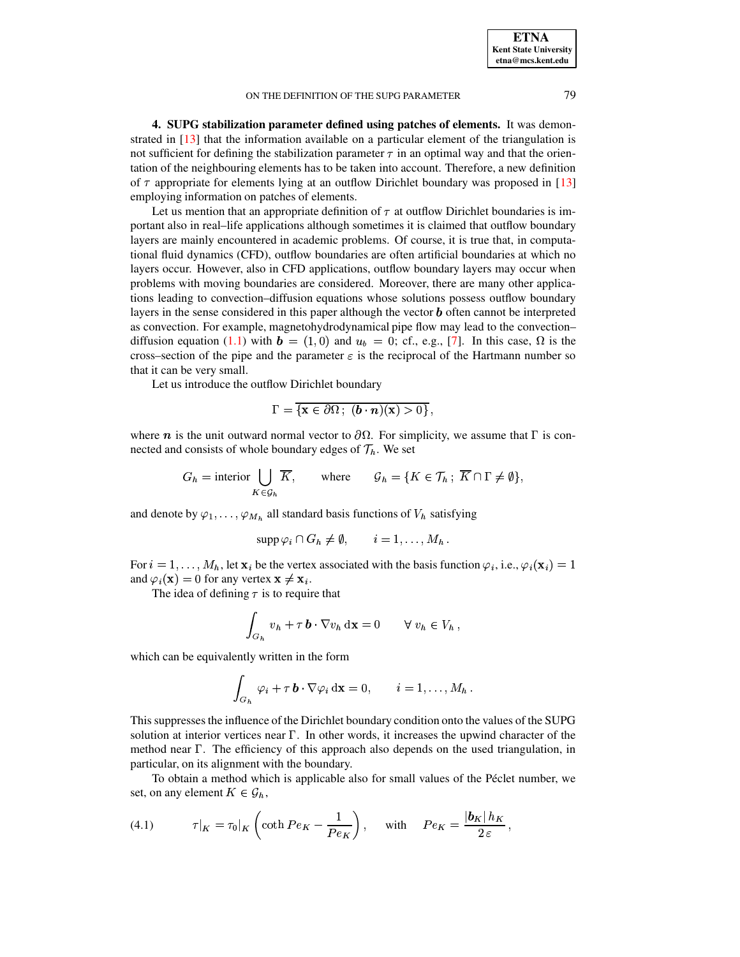<span id="page-3-0"></span>**4. SUPG stabilization parameter defined using patches of elements.** It was demonstrated in [\[13\]](#page-13-4) that the information available on a particular element of the triangulation is not sufficient for defining the stabilization parameter  $\tau$  in an optimal way and that the orientation of the neighbouring elements has to be taken into account. Therefore, a new definition of  $\tau$  appropriate for elements lying at an outflow Dirichlet boundary was proposed in [\[13\]](#page-13-4) employing information on patches of elements.

Let us mention that an appropriate definition of  $\tau$  at outflow Dirichlet boundaries is important also in real–life applications although sometimes it is claimed that outflow boundary layers are mainly encountered in academic problems. Of course, it is true that, in computational fluid dynamics (CFD), outflow boundaries are often artificial boundaries at which no layers occur. However, also in CFD applications, outflow boundary layers may occur when problems with moving boundaries are considered. Moreover, there are many other applications leading to convection–diffusion equations whose solutions possess outflow boundary layers in the sense considered in this paper although the vector  $\boldsymbol{b}$  often cannot be interpreted as convection. For example, magnetohydrodynamical pipe flow may lead to the convection– diffusion equation [\(1.1\)](#page-0-0) with  $\mathbf{b} = (1,0)$  and  $u_b = 0$ ; cf., e.g., [\[7\]](#page-13-12). In this case,  $\Omega$  is the cross–section of the pipe and the parameter  $\varepsilon$  is the reciprocal of the Hartmann number so that it can be very small.

Let us introduce the outflow Dirichlet boundary

$$
\Gamma = \overline{\{\mathbf{x} \in \partial\Omega\, ; \, (\boldsymbol{b} \cdot \boldsymbol{n})(\mathbf{x}) > 0\}} \,,
$$

where  $n$  is the unit outward normal vector to  $\partial\Omega$ . For simplicity, we assume that  $\Gamma$  is connected and consists of whole boundary edges of  $\mathcal{T}_h$ . We set

$$
G_h = \text{interior } \bigcup_{K \in \mathcal{G}_h} \overline{K}, \qquad \text{where} \qquad \mathcal{G}_h = \{ K \in \mathcal{T}_h \, ; \, \overline{K} \cap \Gamma \neq \emptyset \},
$$

and denote by  $\varphi_1, \ldots, \varphi_{M_h}$  all standard basis functions of  $V_h$  satisfying

$$
\operatorname{supp} \varphi_i \cap G_h \neq \emptyset, \qquad i = 1, \dots, M_h \, .
$$

For  $i = 1, \ldots, M_h$ , let  $\mathbf{x}_i$  be the vertex associated with the basis function  $\varphi_i$ , i.e.,  $\varphi_i(\mathbf{x}_i) = 1$ and  $\varphi_i(\mathbf{x}) = 0$  for any vertex  $\mathbf{x} \neq \mathbf{x}_i$ .

The idea of defining  $\tau$  is to require that

$$
\int_{G_h} v_h + \tau \, \mathbf{b} \cdot \nabla v_h \, \mathrm{d} \mathbf{x} = 0 \qquad \forall \ v_h \in V_h \,,
$$

which can be equivalently written in the form

$$
\int_{G_h} \varphi_i + \tau \, \mathbf{b} \cdot \nabla \varphi_i \, \mathrm{d} \mathbf{x} = 0, \qquad i = 1, \ldots, M_h \, .
$$

This suppresses the influence of the Dirichlet boundary condition onto the values of the SUPG solution at interior vertices near  $\Gamma$ . In other words, it increases the upwind character of the method near  $\Gamma$ . The efficiency of this approach also depends on the used triangulation, in particular, on its alignment with the boundary.

To obtain a method which is applicable also for small values of the Péclet number, we set, on any element  $K \in \mathcal{G}_h$ ,

<span id="page-3-1"></span>(4.1) 
$$
\tau|_K = \tau_0|_K \left(\coth Pe_K - \frac{1}{Pe_K}\right), \quad \text{with} \quad Pe_K = \frac{|b_K| h_K}{2\,\varepsilon},
$$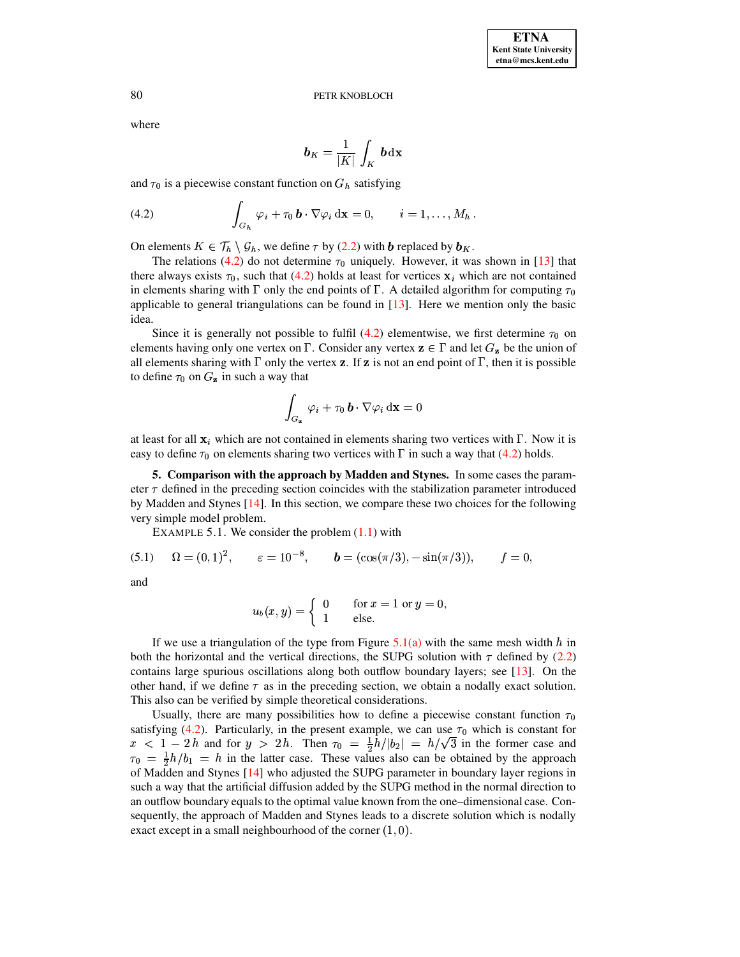where

$$
\boldsymbol{b}_K = \frac{1}{|K|}\, \int_K \, \boldsymbol{b} \, \mathrm{d} \mathbf{x}
$$

and  $\tau_0$  is a piecewise constant function on  $G_h$  satisfying

<span id="page-4-1"></span>(4.2) 
$$
\int_{G_h} \varphi_i + \tau_0 \mathbf{b} \cdot \nabla \varphi_i \, \mathrm{d} \mathbf{x} = 0, \qquad i = 1, \ldots, M_h.
$$

On elements  $K \in \mathcal{T}_h \setminus \mathcal{G}_h$ , we define  $\tau$  by [\(2.2\)](#page-2-2) with  $\bm{b}$  replaced by  $\bm{b}_K$ .

The relations [\(4.2\)](#page-4-1) do not determine  $\tau_0$  uniquely. However, it was shown in [\[13\]](#page-13-4) that there always exists  $\tau_0$ , such that [\(4.2\)](#page-4-1) holds at least for vertices  $x_i$  which are not contained in elements sharing with  $\Gamma$  only the end points of  $\Gamma$ . A detailed algorithm for computing  $\tau_0$ applicable to general triangulations can be found in  $[13]$ . Here we mention only the basic idea.

Since it is generally not possible to fulfil [\(4.2\)](#page-4-1) elementwise, we first determine  $\tau_0$  on elements having only one vertex on  $\Gamma$ . Consider any vertex  $\mathbf{z} \in \Gamma$  and let  $G_{\mathbf{z}}$  be the union of all elements sharing with  $\Gamma$  only the vertex **z**. If **z** is not an end point of  $\Gamma$ , then it is possible to define  $\tau_0$  on  $G_z$  in such a way that

$$
\int_{G_{\mathbf{z}}} \varphi_i + \tau_0 \, \boldsymbol{b} \cdot \nabla \varphi_i \, \mathrm{d} \mathbf{x} = 0
$$

at least for all  $\mathbf{x}_i$  which are not contained in elements sharing two vertices with  $\Gamma$ . Now it is easy to define  $\tau_0$  on elements sharing two vertices with  $\Gamma$  in such a way that [\(4.2\)](#page-4-1) holds.

<span id="page-4-0"></span>**5. Comparison with the approach by Madden and Stynes.** In some cases the parameter  $\tau$  defined in the preceding section coincides with the stabilization parameter introduced by Madden and Stynes [\[14\]](#page-13-5). In this section, we compare these two choices for the following very simple model problem.

EXAMPLE 5.1. We consider the problem  $(1.1)$  with

<span id="page-4-3"></span><span id="page-4-2"></span>(5.1) 
$$
\Omega = (0, 1)^2
$$
,  $\varepsilon = 10^{-8}$ ,  $\mathbf{b} = (\cos(\pi/3), -\sin(\pi/3))$ ,  $f = 0$ ,

and

$$
u_b(x,y) = \begin{cases} 0 & \text{for } x = 1 \text{ or } y = 0, \\ 1 & \text{else.} \end{cases}
$$

If we use a triangulation of the type from Figure  $5.1(a)$  with the same mesh width h in both the horizontal and the vertical directions, the SUPG solution with  $\tau$  defined by [\(2.2\)](#page-2-2) contains large spurious oscillations along both outflow boundary layers; see [\[13\]](#page-13-4). On the other hand, if we define  $\tau$  as in the preceding section, we obtain a nodally exact solution. This also can be verified by simple theoretical considerations.

Usually, there are many possibilities how to define a piecewise constant function  $\tau_0$ satisfying [\(4.2\)](#page-4-1). Particularly, in the present example, we can use  $\tau_0$  which is constant for  $x < 1 - 2h$  and for  $y > 2h$ . Then  $\tau_0 = \frac{1}{2}h/|b_2| = h/\sqrt{3}$  in the former case and  $\tau_0 = \frac{1}{2}h/b_1 = h$  in the latter case. These values also can be obtained by the approach of Madden and Stynes [\[14\]](#page-13-5) who adjusted the SUPG parameter in boundary layer regions in such a way that the artificial diffusion added by the SUPG method in the normal direction to an outflow boundary equals to the optimal value known from the one–dimensional case. Consequently, the approach of Madden and Stynes leads to a discrete solution which is nodally exact except in a small neighbourhood of the corner  $(1, 0)$ .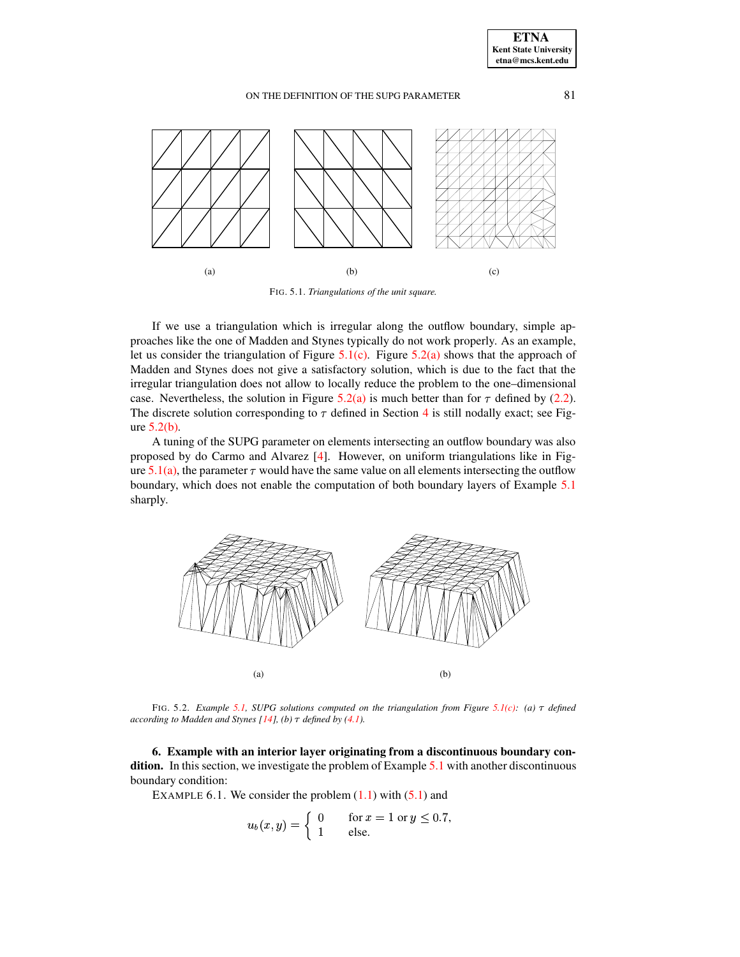<span id="page-5-1"></span>

<span id="page-5-6"></span><span id="page-5-2"></span>FIG. 5.1. *Triangulations of the unit square.*

If we use a triangulation which is irregular along the outflow boundary, simple approaches like the one of Madden and Stynes typically do not work properly. As an example, let us consider the triangulation of Figure  $5.1(c)$ . Figure  $5.2(a)$  shows that the approach of Madden and Stynes does not give a satisfactory solution, which is due to the fact that the irregular triangulation does not allow to locally reduce the problem to the one–dimensional case. Nevertheless, the solution in Figure [5.2\(a\)](#page-5-3) is much better than for  $\tau$  defined by [\(2.2\)](#page-2-2). The discrete solution corresponding to  $\tau$  defined in Section [4](#page-3-0) is still nodally exact; see Figure  $5.2(b)$ .

<span id="page-5-3"></span>A tuning of the SUPG parameter on elements intersecting an outflow boundary was also proposed by do Carmo and Alvarez [\[4\]](#page-13-13). However, on uniform triangulations like in Fig-ure [5.1\(a\),](#page-5-1) the parameter  $\tau$  would have the same value on all elements intersecting the outflow boundary, which does not enable the computation of both boundary layers of Example [5.1](#page-4-2) sharply.



<span id="page-5-4"></span>FIG. 5.2. *Example* [5.1,](#page-4-2) *SUPG solutions computed on* the triangulation from Figure [5.1\(c\):](#page-5-2) (a)  $\tau$  *defined according to Madden and Stynes*  $[14]$ *,*  $(b)$   $\tau$  *defined by*  $(4.1)$ *.* 

<span id="page-5-5"></span><span id="page-5-0"></span>**6. Example with an interior layer originating from a discontinuous boundary con-**dition. In this section, we investigate the problem of Example [5.1](#page-4-2) with another discontinuous boundary condition:

EXAMPLE 6.1. We consider the problem  $(1.1)$  with  $(5.1)$  and

$$
u_b(x,y) = \begin{cases} 0 & \text{for } x = 1 \text{ or } y \le 0.7, \\ 1 & \text{else.} \end{cases}
$$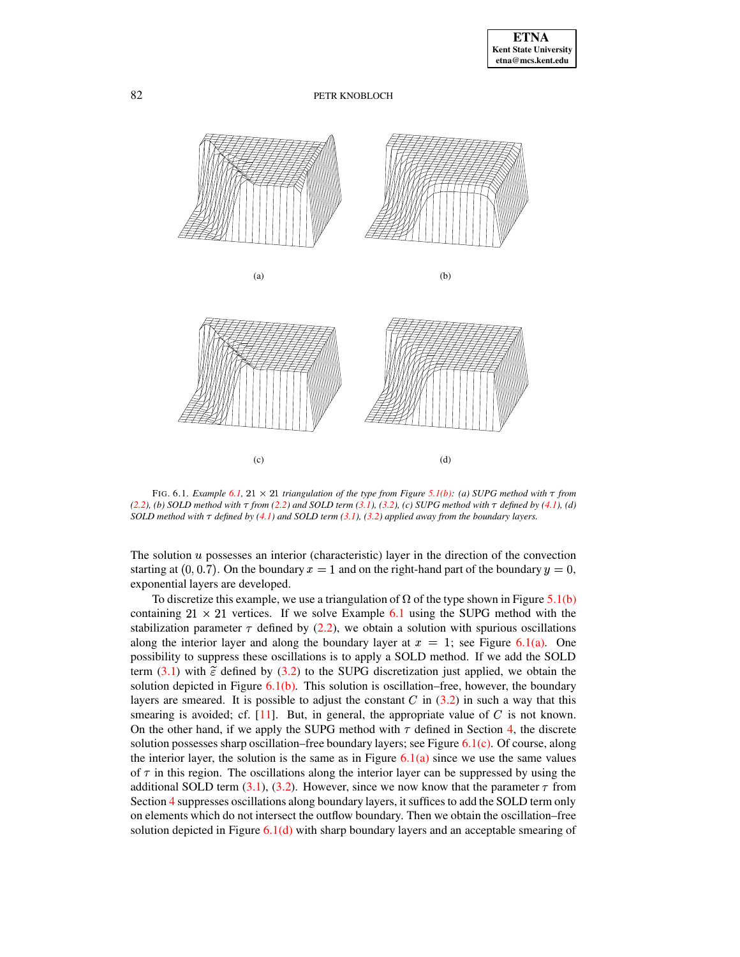<span id="page-6-2"></span><span id="page-6-1"></span><span id="page-6-0"></span>

<span id="page-6-3"></span>FIG. 6.1. *Example* [6.1,](#page-5-5) 21  $\times$  21 *triangulation* of the type from Figure [5.1\(b\):](#page-5-6) (a) SUPG method with  $\tau$  from [\(2.2\)](#page-2-2), (b) SOLD method with  $\tau$  from (2.2) and SOLD term [\(3.1\)](#page-2-3), [\(3.2\)](#page-2-1), (c) SUPG method with  $\tau$  defined by [\(4.1\)](#page-3-1), (d) SOLD method with  $\tau$  defined by [\(4.1\)](#page-3-1) and SOLD term [\(3.1\)](#page-2-3), [\(3.2\)](#page-2-1) applied away from the boundary layers.

The solution  $u$  possesses an interior (characteristic) layer in the direction of the convection starting at  $(0, 0.7)$ . On the boundary  $x = 1$  and on the right-hand part of the boundary  $y = 0$ , exponential layers are developed.

To discretize this example, we use a triangulation of  $\Omega$  of the type shown in Figure [5.1\(b\)](#page-5-6) containing  $21 \times 21$  vertices. If we solve Example [6.1](#page-5-5) using the SUPG method with the stabilization parameter  $\tau$  defined by [\(2.2\)](#page-2-2), we obtain a solution with spurious oscillations along the interior layer and along the boundary layer at  $x = 1$ ; see Figure [6.1\(a\).](#page-6-0) One possibility to suppress these oscillations is to apply a SOLD method. If we add the SOLD term  $(3.1)$  with  $\tilde{\epsilon}$  defined by  $(3.2)$  to the SUPG discretization just applied, we obtain the solution depicted in Figure  $6.1(b)$ . This solution is oscillation–free, however, the boundary layers are smeared. It is possible to adjust the constant  $C$  in [\(3.2\)](#page-2-1) in such a way that this smearing is avoided; cf.  $[11]$ . But, in general, the appropriate value of C is not known. On the other hand, if we apply the SUPG method with  $\tau$  defined in Section [4,](#page-3-0) the discrete solution possesses sharp oscillation–free boundary layers; see Figure [6.1\(c\).](#page-6-2) Of course, along the interior layer, the solution is the same as in Figure  $6.1(a)$  since we use the same values of  $\tau$  in this region. The oscillations along the interior layer can be suppressed by using the additional SOLD term [\(3.1\)](#page-2-3), [\(3.2\)](#page-2-1). However, since we now know that the parameter  $\tau$  from Section [4](#page-3-0) suppresses oscillations along boundary layers, it suffices to add the SOLD term only on elements which do not intersect the outflow boundary. Then we obtain the oscillation–free solution depicted in Figure  $6.1(d)$  with sharp boundary layers and an acceptable smearing of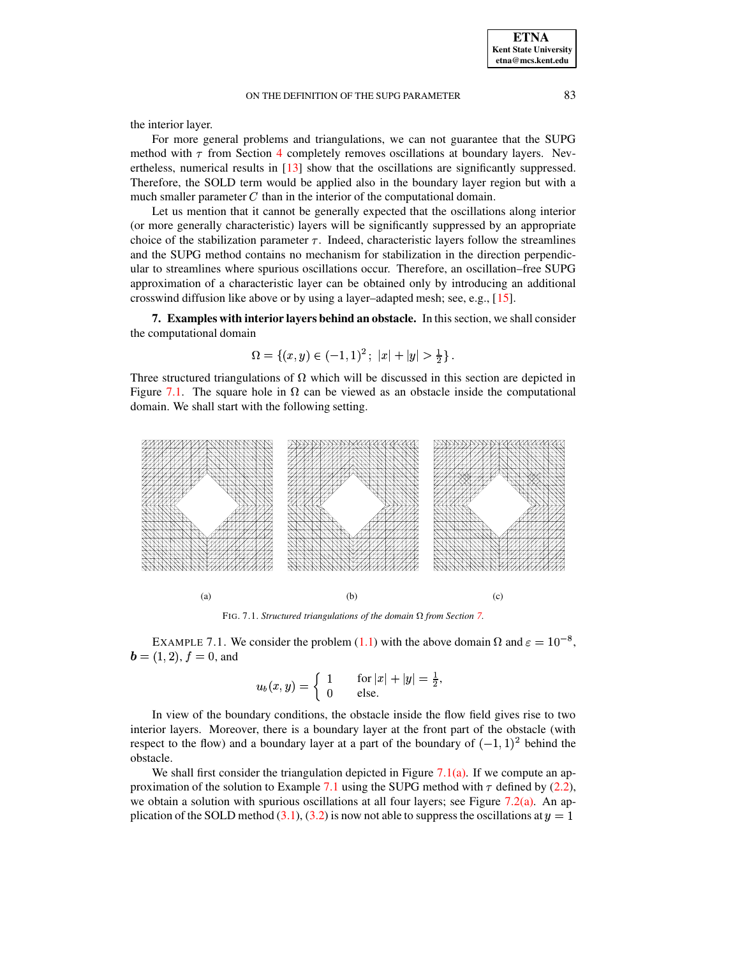the interior layer.

For more general problems and triangulations, we can not guarantee that the SUPG method with  $\tau$  from Section [4](#page-3-0) completely removes oscillations at boundary layers. Nevertheless, numerical results in [\[13\]](#page-13-4) show that the oscillations are significantly suppressed. Therefore, the SOLD term would be applied also in the boundary layer region but with a much smaller parameter  $C$  than in the interior of the computational domain.

Let us mention that it cannot be generally expected that the oscillations along interior (or more generally characteristic) layers will be significantly suppressed by an appropriate choice of the stabilization parameter  $\tau$ . Indeed, characteristic layers follow the streamlines and the SUPG method contains no mechanism for stabilization in the direction perpendicular to streamlines where spurious oscillations occur. Therefore, an oscillation–free SUPG approximation of a characteristic layer can be obtained only by introducing an additional crosswind diffusion like above or by using a layer–adapted mesh; see, e.g., [\[15\]](#page-13-14).

<span id="page-7-0"></span>**7. Examples with interior layers behind an obstacle.** In this section, we shall consider the computational domain

$$
\Omega = \{(x, y) \in (-1, 1)^2 \, ; \, |x| + |y| > \frac{1}{2}\} \, .
$$

Three structured triangulations of  $\Omega$  which will be discussed in this section are depicted in Figure [7.1.](#page-7-1) The square hole in  $\Omega$  can be viewed as an obstacle inside the computational domain. We shall start with the following setting.

<span id="page-7-2"></span>

<span id="page-7-5"></span><span id="page-7-4"></span><span id="page-7-1"></span>FIG. [7.](#page-7-0)1. *Structured triangulations of the domain*  $\Omega$  *from Section 7.* 

<span id="page-7-3"></span>EXAMPLE 7.1. We consider the problem [\(1.1\)](#page-0-0) with the above domain  $\Omega$  and  $\varepsilon = 10^{-8}$ ,  $\boldsymbol{b} = (1,2), f = 0,$  and

$$
u_b(x,y) = \begin{cases} 1 & \text{for } |x|+|y| = \frac{1}{2}, \\ 0 & \text{else.} \end{cases}
$$

In view of the boundary conditions, the obstacle inside the flow field gives rise to two interior layers. Moreover, there is a boundary layer at the front part of the obstacle (with respect to the flow) and a boundary layer at a part of the boundary of  $(-1, 1)^2$  behind the obstacle.

We shall first consider the triangulation depicted in Figure [7.1\(a\).](#page-7-2) If we compute an ap-proximation of the solution to Example [7.1](#page-7-3) using the SUPG method with  $\tau$  defined by [\(2.2\)](#page-2-2), we obtain a solution with spurious oscillations at all four layers; see Figure [7.2\(a\).](#page-8-0) An ap-plication of the SOLD method [\(3.1\)](#page-2-3), [\(3.2\)](#page-2-1) is now not able to suppress the oscillations at  $y = 1$ 

**ETNA Kent State University etna@mcs.kent.edu**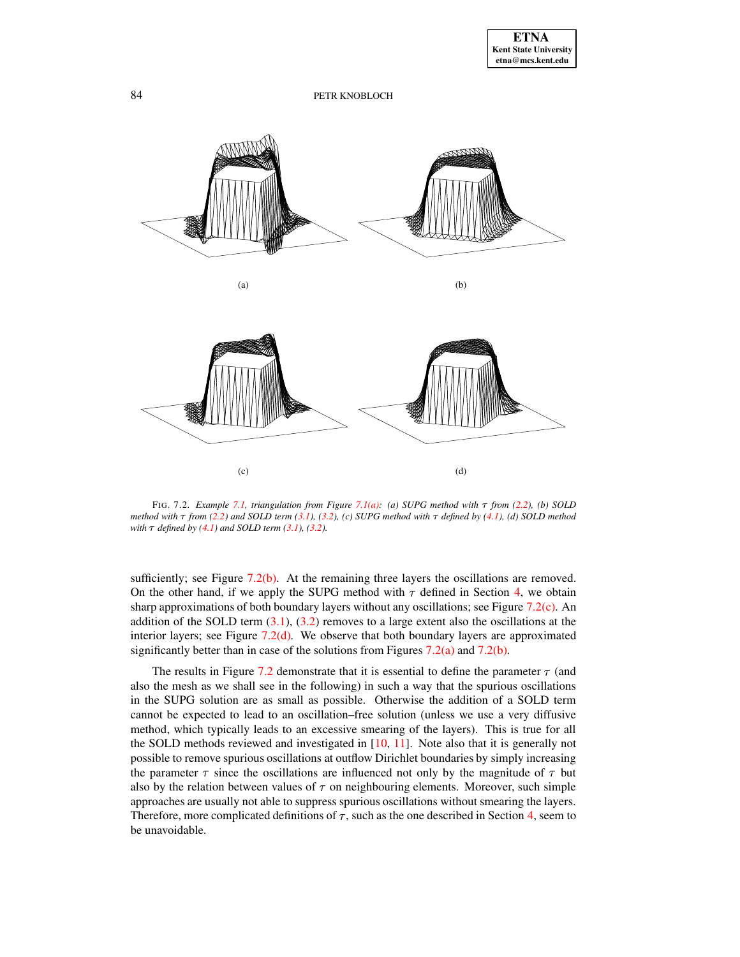<span id="page-8-2"></span><span id="page-8-1"></span><span id="page-8-0"></span>

<span id="page-8-4"></span><span id="page-8-3"></span>FIG. 7.2. *Example [7.1,](#page-7-3) triangulation from Figure [7.1\(a\):](#page-7-2) (a) SUPG method with* ¿ *from [\(2.2\)](#page-2-2), (b) SOLD* method with  $\tau$  from [\(2.2\)](#page-2-2) and SOLD term [\(3.1\)](#page-2-3), [\(3.2\)](#page-2-1), (c) SUPG method with  $\tau$  defined by [\(4.1\)](#page-3-1), (d) SOLD method *with*  $\tau$  *defined by* [\(4.1\)](#page-3-1) *and SOLD term* [\(3.1\)](#page-2-3), [\(3.2\)](#page-2-1).

sufficiently; see Figure  $7.2(b)$ . At the remaining three layers the oscillations are removed. On the other hand, if we apply the SUPG method with  $\tau$  defined in Section [4,](#page-3-0) we obtain sharp approximations of both boundary layers without any oscillations; see Figure [7.2\(c\).](#page-8-2) An addition of the SOLD term  $(3.1)$ ,  $(3.2)$  removes to a large extent also the oscillations at the interior layers; see Figure  $7.2(d)$ . We observe that both boundary layers are approximated significantly better than in case of the solutions from Figures  $7.2(a)$  and  $7.2(b)$ .

The results in Figure [7.2](#page-8-4) demonstrate that it is essential to define the parameter  $\tau$  (and also the mesh as we shall see in the following) in such a way that the spurious oscillations in the SUPG solution are as small as possible. Otherwise the addition of a SOLD term cannot be expected to lead to an oscillation–free solution (unless we use a very diffusive method, which typically leads to an excessive smearing of the layers). This is true for all the SOLD methods reviewed and investigated in [\[10,](#page-13-8) [11\]](#page-13-9). Note also that it is generally not possible to remove spurious oscillations at outflow Dirichlet boundaries by simply increasing the parameter  $\tau$  since the oscillations are influenced not only by the magnitude of  $\tau$  but also by the relation between values of  $\tau$  on neighbouring elements. Moreover, such simple approaches are usually not able to suppress spurious oscillations without smearing the layers. Therefore, more complicated definitions of  $\tau$ , such as the one described in Section [4,](#page-3-0) seem to be unavoidable.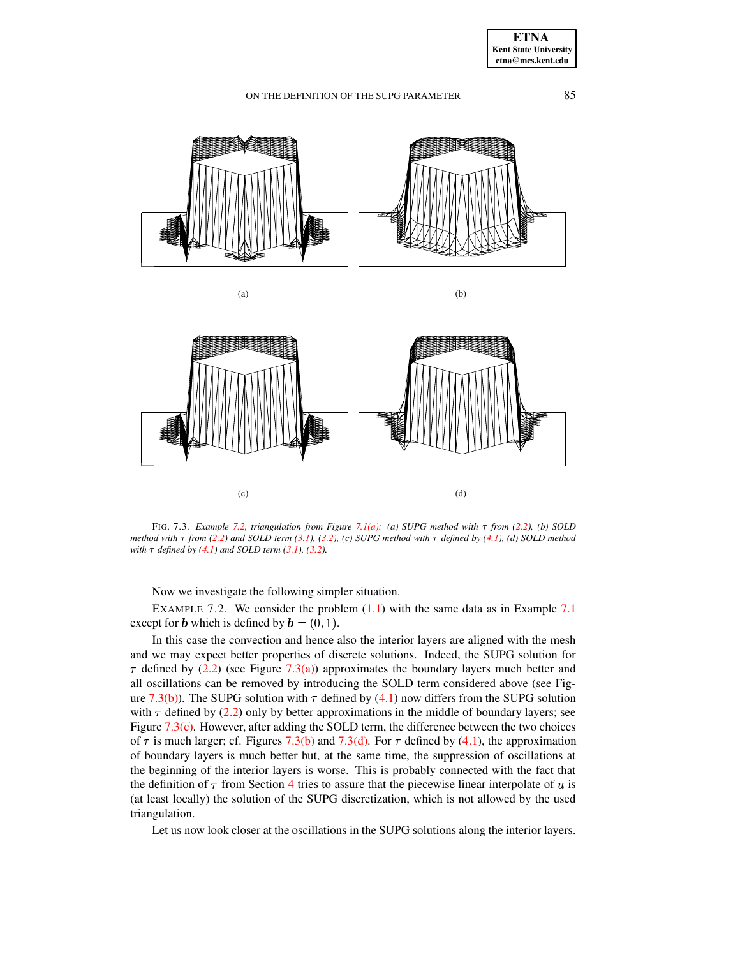<span id="page-9-3"></span><span id="page-9-2"></span><span id="page-9-1"></span>

<span id="page-9-4"></span>FIG. 7.3. *Example* [7.2,](#page-9-0) *triangulation from Figure* [7.1\(a\):](#page-7-2) (a) SUPG *method* with  $\tau$  from [\(2.2\)](#page-2-2), (b) SOLD method with  $\tau$  from [\(2.2\)](#page-2-2) and SOLD term [\(3.1\)](#page-2-3), [\(3.2\)](#page-2-1), (c) SUPG method with  $\tau$  defined by [\(4.1\)](#page-3-1), (d) SOLD method *with*  $\tau$  *defined by*  $(4.1)$  *and SOLD term*  $(3.1)$ *,*  $(3.2)$ *.* 

Now we investigate the following simpler situation.

<span id="page-9-0"></span>EXAMPLE 7.2. We consider the problem  $(1.1)$  with the same data as in Example [7.1](#page-7-3) except for **b** which is defined by  $\mathbf{b} = (0, 1)$ .

In this case the convection and hence also the interior layers are aligned with the mesh and we may expect better properties of discrete solutions. Indeed, the SUPG solution for  $\tau$  defined by [\(2.2\)](#page-2-2) (see Figure [7.3\(a\)\)](#page-9-1) approximates the boundary layers much better and all oscillations can be removed by introducing the SOLD term considered above (see Fig-ure [7.3\(b\)\)](#page-9-2). The SUPG solution with  $\tau$  defined by [\(4.1\)](#page-3-1) now differs from the SUPG solution with  $\tau$  defined by [\(2.2\)](#page-2-2) only by better approximations in the middle of boundary layers; see Figure [7.3\(c\).](#page-9-3) However, after adding the SOLD term, the difference between the two choices of  $\tau$  is much larger; cf. Figures [7.3\(b\)](#page-9-2) and [7.3\(d\).](#page-9-4) For  $\tau$  defined by [\(4.1\)](#page-3-1), the approximation of boundary layers is much better but, at the same time, the suppression of oscillations at the beginning of the interior layers is worse. This is probably connected with the fact that the definition of  $\tau$  from Section [4](#page-3-0) tries to assure that the piecewise linear interpolate of u is (at least locally) the solution of the SUPG discretization, which is not allowed by the used triangulation.

Let us now look closer at the oscillations in the SUPG solutions along the interior layers.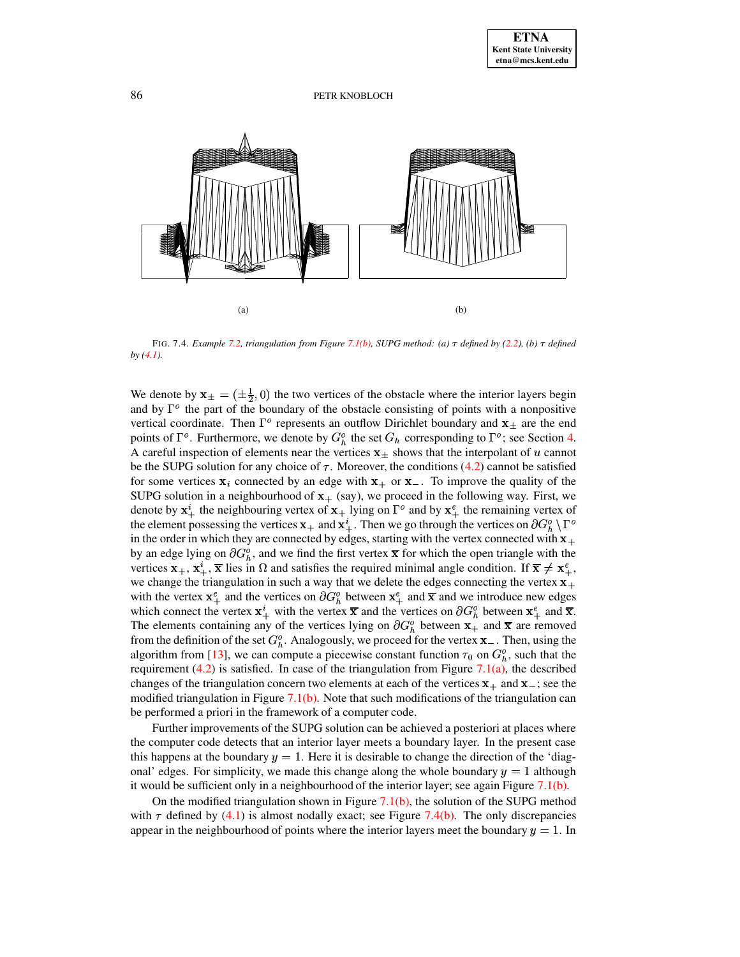<span id="page-10-1"></span>

<span id="page-10-0"></span>FIG. 7.4. *Example* [7.2,](#page-9-0) *triangulation from Figure* [7.1\(b\),](#page-7-4) SUPG *method:* (a)  $\tau$  *defined* by [\(2.2\)](#page-2-2), (b)  $\tau$  *defined by [\(4.1\)](#page-3-1).*

We denote by  $\mathbf{x}_{\pm} = (\pm \frac{1}{2}, 0)$  the two vertices of the obstacle where the interior layers begin and by  $\Gamma^{\circ}$  the part of the boundary of the obstacle consisting of points with a nonpositive vertical coordinate. Then  $\Gamma^{\circ}$  represents an outflow Dirichlet boundary and  $x_{\pm}$  are the end points of  $\Gamma^o$ . Furthermore, we denote by  $G_h^o$  the set  $G_h$  corresponding to  $\Gamma^o$ ; see Section [4.](#page-3-0) A careful inspection of elements near the vertices  $x_{\pm}$  shows that the interpolant of u cannot be the SUPG solution for any choice of  $\tau$ . Moreover, the conditions [\(4.2\)](#page-4-1) cannot be satisfied for some vertices  $x_i$  connected by an edge with  $x_+$  or  $x_-$ . To improve the quality of the SUPG solution in a neighbourhood of  $x_{+}$  (say), we proceed in the following way. First, we denote by  $x^i_{\perp}$  the neighbouring vertex of  $x_{\perp}$  lying on  $\Gamma^{\circ}$  and by  $x^e_{\perp}$  the remaining vertex of the element possessing the vertices  $x_+$  and  $x_+^i$ . Then we go through the vertices on  $\partial G^o_{\hbar} \setminus \Gamma^o$ in the order in which they are connected by edges, starting with the vertex connected with  $x_+$ by an edge lying on  $\partial G_b^o$ , and we find the first vertex  $\bar{x}$  for which the open triangle with the vertices  $x_+, x_*^i$ ,  $\overline{x}$  lies in  $\Omega$  and satisfies the required minimal angle condition. If  $\overline{x} \neq x_*^e$ , we change the triangulation in such a way that we delete the edges connecting the vertex  $x_{+}$ with the vertex  $x^e$  and the vertices on  $\partial G^o_h$  between  $x^e$  and  $\bar{x}$  and we introduce new edges which connect the vertex  $\mathbf{x}_{+}^{i}$  with the vertex  $\overline{\mathbf{x}}$  and the vertices on  $\partial G_{b}^{o}$  between  $\mathbf{x}_{+}^{e}$  and  $\overline{\mathbf{x}}$ . The elements containing any of the vertices lying on  $\partial G_h^o$  between  $x_+$  and  $\overline{x}$  are removed from the definition of the set  $G_h^o$ . Analogously, we proceed for the vertex  $\mathbf{x}_-$ . Then, using the algorithm from [\[13\]](#page-13-4), we can compute a piecewise constant function  $\tau_0$  on  $G_h^o$ , such that the requirement  $(4.2)$  is satisfied. In case of the triangulation from Figure 7.1 $(a)$ , the described changes of the triangulation concern two elements at each of the vertices  $x_+$  and  $x_-$ ; see the modified triangulation in Figure  $7.1(b)$ . Note that such modifications of the triangulation can be performed a priori in the framework of a computer code.

Further improvements of the SUPG solution can be achieved a posteriori at places where the computer code detects that an interior layer meets a boundary layer. In the present case this happens at the boundary  $y = 1$ . Here it is desirable to change the direction of the 'diagonal' edges. For simplicity, we made this change along the whole boundary  $y = 1$  although it would be sufficient only in a neighbourhood of the interior layer; see again Figure  $7.1(b)$ .

On the modified triangulation shown in Figure  $7.1(b)$ , the solution of the SUPG method with  $\tau$  defined by [\(4.1\)](#page-3-1) is almost nodally exact; see Figure [7.4\(b\).](#page-10-0) The only discrepancies appear in the neighbourhood of points where the interior layers meet the boundary  $y = 1$ . In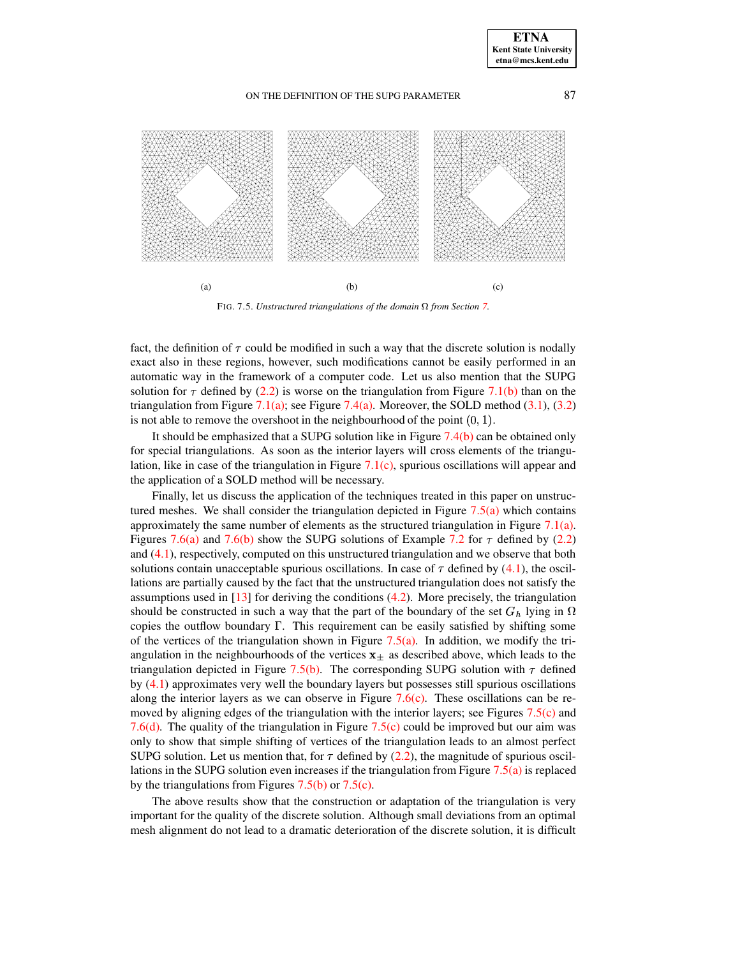<span id="page-11-0"></span>

<span id="page-11-2"></span><span id="page-11-1"></span>FIG. [7.](#page-7-0)5. *Unstructured triangulations of the domain*  $\Omega$  *from Section* 7.

fact, the definition of  $\tau$  could be modified in such a way that the discrete solution is nodally exact also in these regions, however, such modifications cannot be easily performed in an automatic way in the framework of a computer code. Let us also mention that the SUPG solution for  $\tau$  defined by [\(2.2\)](#page-2-2) is worse on the triangulation from Figure [7.1\(b\)](#page-7-4) than on the triangulation from Figure [7.1\(a\);](#page-7-2) see Figure [7.4\(a\).](#page-10-1) Moreover, the SOLD method  $(3.1)$ ,  $(3.2)$ is not able to remove the overshoot in the neighbourhood of the point  $(0, 1)$ .

It should be emphasized that a SUPG solution like in Figure  $7.4(b)$  can be obtained only for special triangulations. As soon as the interior layers will cross elements of the triangulation, like in case of the triangulation in Figure  $7.1(c)$ , spurious oscillations will appear and the application of a SOLD method will be necessary.

Finally, let us discuss the application of the techniques treated in this paper on unstructured meshes. We shall consider the triangulation depicted in Figure  $7.5(a)$  which contains approximately the same number of elements as the structured triangulation in Figure [7.1\(a\).](#page-7-2) Figures [7.6\(a\)](#page-12-2) and [7.6\(b\)](#page-12-3) show the SUPG solutions of Example [7.2](#page-9-0) for  $\tau$  defined by [\(2.2\)](#page-2-2) and [\(4.1\)](#page-3-1), respectively, computed on this unstructured triangulation and we observe that both solutions contain unacceptable spurious oscillations. In case of  $\tau$  defined by [\(4.1\)](#page-3-1), the oscillations are partially caused by the fact that the unstructured triangulation does not satisfy the assumptions used in  $[13]$  for deriving the conditions  $(4.2)$ . More precisely, the triangulation should be constructed in such a way that the part of the boundary of the set  $G_h$  lying in  $\Omega$ copies the outflow boundary  $\Gamma$ . This requirement can be easily satisfied by shifting some of the vertices of the triangulation shown in Figure [7.5\(a\).](#page-11-0) In addition, we modify the triangulation in the neighbourhoods of the vertices  $x_{\pm}$  as described above, which leads to the triangulation depicted in Figure [7.5\(b\).](#page-11-1) The corresponding SUPG solution with  $\tau$  defined by [\(4.1\)](#page-3-1) approximates very well the boundary layers but possesses still spurious oscillations along the interior layers as we can observe in Figure  $7.6(c)$ . These oscillations can be removed by aligning edges of the triangulation with the interior layers; see Figures [7.5\(c\)](#page-11-2) and [7.6\(d\).](#page-12-5) The quality of the triangulation in Figure [7.5\(c\)](#page-11-2) could be improved but our aim was only to show that simple shifting of vertices of the triangulation leads to an almost perfect SUPG solution. Let us mention that, for  $\tau$  defined by [\(2.2\)](#page-2-2), the magnitude of spurious oscillations in the SUPG solution even increases if the triangulation from Figure  $7.5(a)$  is replaced by the triangulations from Figures [7.5\(b\)](#page-11-1) or [7.5\(c\).](#page-11-2)

The above results show that the construction or adaptation of the triangulation is very important for the quality of the discrete solution. Although small deviations from an optimal mesh alignment do not lead to a dramatic deterioration of the discrete solution, it is difficult

**ETNA Kent State University**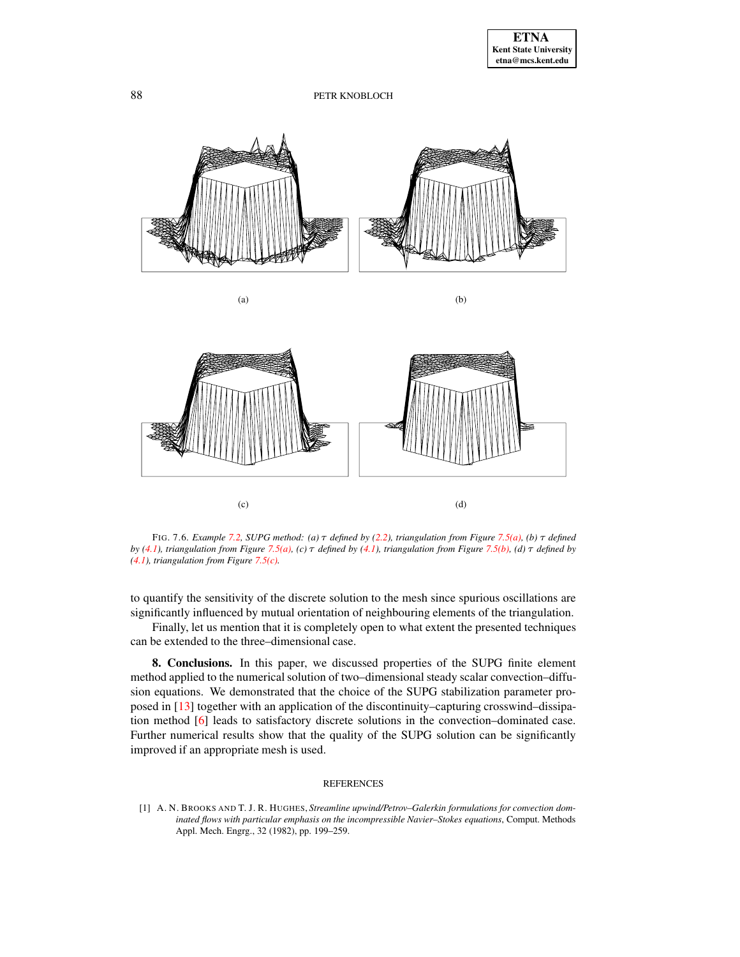<span id="page-12-4"></span><span id="page-12-3"></span><span id="page-12-2"></span>

<span id="page-12-5"></span>FIG. 7.6. *Example* [7.2,](#page-9-0) *SUPG method:* (a)  $\tau$  *defined by* [\(2.2\)](#page-2-2), *triangulation from Figure* [7.5\(a\),](#page-11-0) (b)  $\tau$  *defined* by [\(4.1\)](#page-3-1), triangulation from Figure [7.5\(a\),](#page-11-0) (c)  $\tau$  defined by (4.1), triangulation from Figure [7.5\(b\),](#page-11-1) (d)  $\tau$  defined by *[\(4.1\)](#page-3-1), triangulation from Figure [7.5\(c\).](#page-11-2)*

to quantify the sensitivity of the discrete solution to the mesh since spurious oscillations are significantly influenced by mutual orientation of neighbouring elements of the triangulation.

Finally, let us mention that it is completely open to what extent the presented techniques can be extended to the three–dimensional case.

<span id="page-12-1"></span>**8. Conclusions.** In this paper, we discussed properties of the SUPG finite element method applied to the numerical solution of two–dimensional steady scalar convection–diffusion equations. We demonstrated that the choice of the SUPG stabilization parameter proposed in [\[13\]](#page-13-4) together with an application of the discontinuity–capturing crosswind–dissipation method [\[6\]](#page-13-6) leads to satisfactory discrete solutions in the convection–dominated case. Further numerical results show that the quality of the SUPG solution can be significantly improved if an appropriate mesh is used.

### REFERENCES

<span id="page-12-0"></span>[1] A. N. BROOKS AND T. J. R. HUGHES, *Streamline upwind/Petrov–Galerkin formulations for convection dominated flows with particular emphasis on the incompressible Navier–Stokes equations*, Comput. Methods Appl. Mech. Engrg., 32 (1982), pp. 199–259.